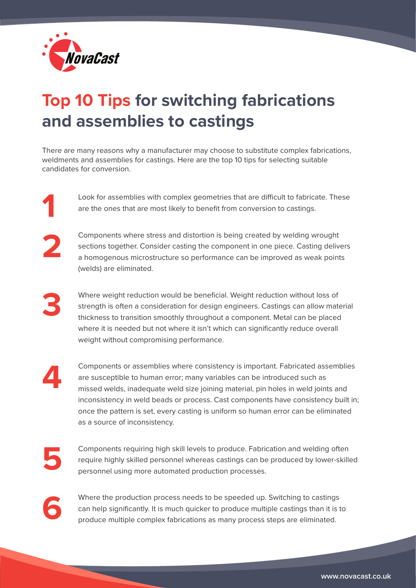

## **Top 10 Tips for switching fabrications and assemblies to castings**

There are many reasons why a manufacturer may choose to substitute complex fabrications, weldments and assemblies for castings. Here are the top 10 tips for selecting suitable candidates for conversion.

> Look for assemblies with complex geometries that are difficult to fabricate. These are the ones that are most likely to benefit from conversion to castings.



**3**

Components where stress and distortion is being created by welding wrought sections together. Consider casting the component in one piece. Casting delivers a homogenous microstructure so performance can be improved as weak points (welds) are eliminated.

Where weight reduction would be beneficial. Weight reduction without loss of strength is often a consideration for design engineers. Castings can allow material thickness to transition smoothly throughout a component. Metal can be placed where it is needed but not where it isn't which can significantly reduce overall weight without compromising performance.

**4**

Components or assemblies where consistency is important. Fabricated assemblies are susceptible to human error; many variables can be introduced such as missed welds, inadequate weld size joining material, pin holes in weld joints and inconsistency in weld beads or process. Cast components have consistency built in; once the pattern is set, every casting is uniform so human error can be eliminated as a source of inconsistency.

**5**

Components requiring high skill levels to produce. Fabrication and welding often require highly skilled personnel whereas castings can be produced by lower-skilled personnel using more automated production processes.

**6**

Where the production process needs to be speeded up. Switching to castings can help significantly. It is much quicker to produce multiple castings than it is to produce multiple complex fabrications as many process steps are eliminated.